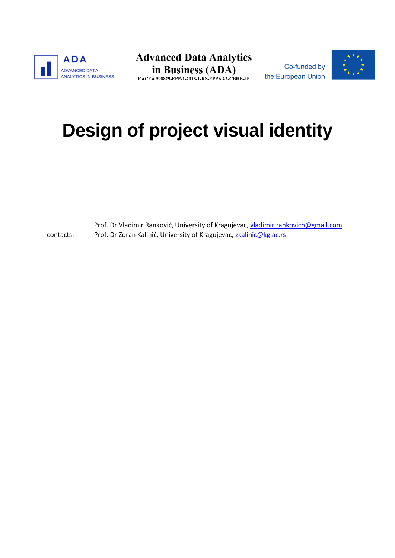

**Advanced Data Analytics** in Business (ADA) EACEA 598829-EPP-1-2018-1-RS-EPPKA2-CBHE-JP

Co-funded by the European Union



# **Design of project visual identity**

contacts: Prof. Dr Vladimir Ranković, University of Kragujevac, [vladimir.rankovich@gmail.com](mailto:vladimir.rankovich@gmail.com) Prof. Dr Zoran Kalinić, University of Kragujevac[, zkalinic@kg.ac.rs](mailto:zkalinic@kg.ac.rs)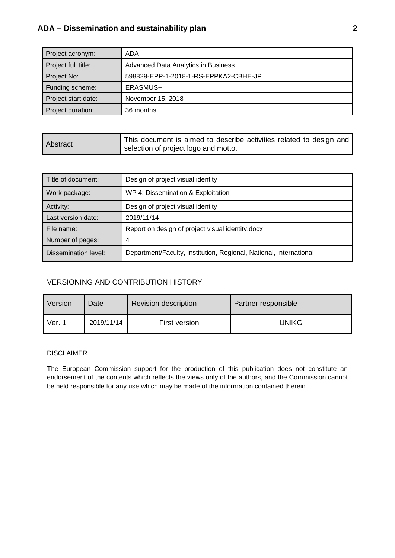| Project acronym:    | ADA                                   |
|---------------------|---------------------------------------|
| Project full title: | Advanced Data Analytics in Business   |
| Project No:         | 598829-EPP-1-2018-1-RS-EPPKA2-CBHE-JP |
| Funding scheme:     | ERASMUS+                              |
| Project start date: | November 15, 2018                     |
| Project duration:   | 36 months                             |

| Abstract | This document is aimed to describe activities related to design and |
|----------|---------------------------------------------------------------------|
|          | selection of project logo and motto.                                |

| Title of document:   | Design of project visual identity                                  |
|----------------------|--------------------------------------------------------------------|
| Work package:        | WP 4: Dissemination & Exploitation                                 |
| Activity:            | Design of project visual identity                                  |
| Last version date:   | 2019/11/14                                                         |
| File name:           | Report on design of project visual identity docx                   |
| Number of pages:     | 4                                                                  |
| Dissemination level: | Department/Faculty, Institution, Regional, National, International |

#### VERSIONING AND CONTRIBUTION HISTORY

| <b>Version</b> | Date       | <b>Revision description</b> | Partner responsible |
|----------------|------------|-----------------------------|---------------------|
| Ver. 1         | 2019/11/14 | First version               | <b>UNIKG</b>        |

#### DISCLAIMER

The European Commission support for the production of this publication does not constitute an endorsement of the contents which reflects the views only of the authors, and the Commission cannot be held responsible for any use which may be made of the information contained therein.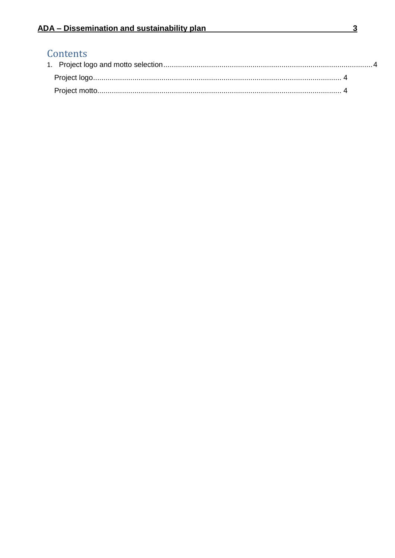## Contents